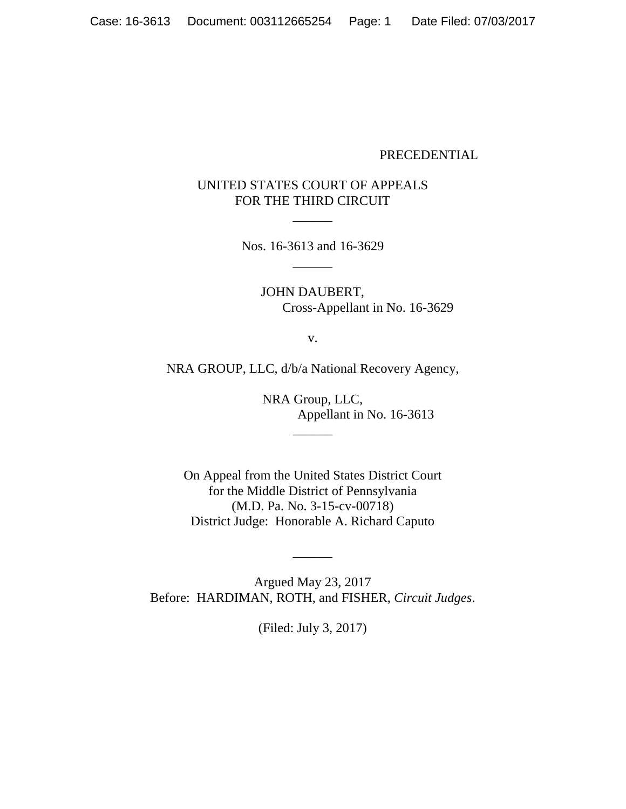### PRECEDENTIAL

# UNITED STATES COURT OF APPEALS FOR THE THIRD CIRCUIT

 $\overline{\phantom{a}}$ 

Nos. 16-3613 and 16-3629  $\overline{\phantom{a}}$ 

> JOHN DAUBERT, Cross-Appellant in No. 16-3629

> > v.

NRA GROUP, LLC, d/b/a National Recovery Agency,

 $\overline{\phantom{a}}$ 

NRA Group, LLC, Appellant in No. 16-3613

On Appeal from the United States District Court for the Middle District of Pennsylvania (M.D. Pa. No. 3-15-cv-00718) District Judge: Honorable A. Richard Caputo

Argued May 23, 2017 Before: HARDIMAN, ROTH, and FISHER, *Circuit Judges*.

 $\overline{\phantom{a}}$ 

(Filed: July 3, 2017)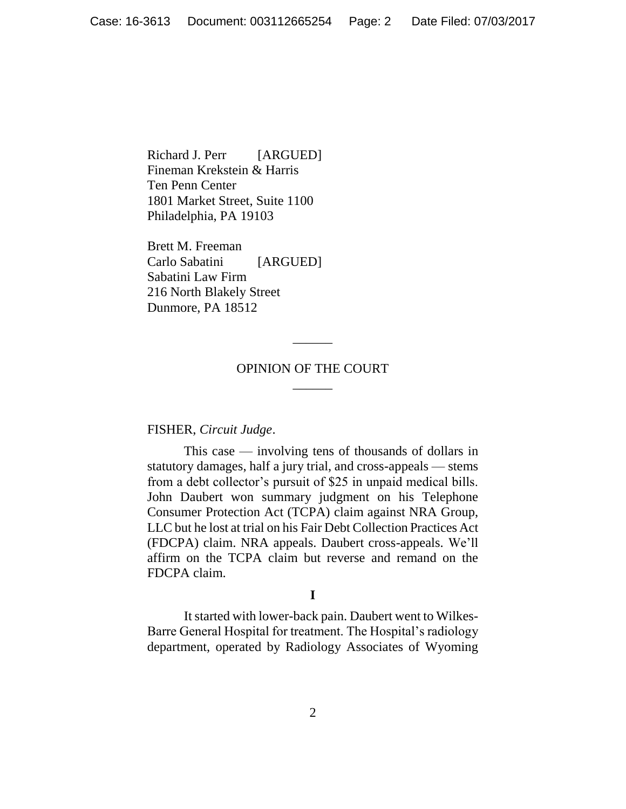Richard J. Perr [ARGUED] Fineman Krekstein & Harris Ten Penn Center 1801 Market Street, Suite 1100 Philadelphia, PA 19103

Brett M. Freeman Carlo Sabatini [ARGUED] Sabatini Law Firm 216 North Blakely Street Dunmore, PA 18512

## OPINION OF THE COURT  $\overline{\phantom{a}}$

 $\overline{\phantom{a}}$ 

#### FISHER, *Circuit Judge*.

This case — involving tens of thousands of dollars in statutory damages, half a jury trial, and cross-appeals — stems from a debt collector's pursuit of \$25 in unpaid medical bills. John Daubert won summary judgment on his Telephone Consumer Protection Act (TCPA) claim against NRA Group, LLC but he lost at trial on his Fair Debt Collection Practices Act (FDCPA) claim. NRA appeals. Daubert cross-appeals. We'll affirm on the TCPA claim but reverse and remand on the FDCPA claim.

#### **I**

It started with lower-back pain. Daubert went to Wilkes-Barre General Hospital for treatment. The Hospital's radiology department, operated by Radiology Associates of Wyoming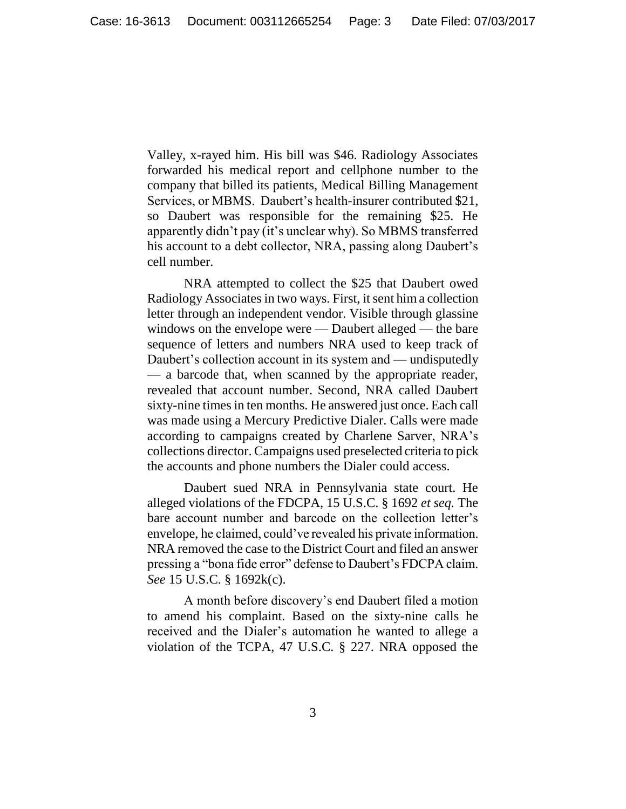Valley, x-rayed him. His bill was \$46. Radiology Associates forwarded his medical report and cellphone number to the company that billed its patients, Medical Billing Management Services, or MBMS. Daubert's health-insurer contributed \$21, so Daubert was responsible for the remaining \$25. He apparently didn't pay (it's unclear why). So MBMS transferred his account to a debt collector, NRA, passing along Daubert's cell number.

NRA attempted to collect the \$25 that Daubert owed Radiology Associates in two ways. First, it sent him a collection letter through an independent vendor. Visible through glassine windows on the envelope were — Daubert alleged — the bare sequence of letters and numbers NRA used to keep track of Daubert's collection account in its system and — undisputedly — a barcode that, when scanned by the appropriate reader, revealed that account number. Second, NRA called Daubert sixty-nine times in ten months. He answered just once. Each call was made using a Mercury Predictive Dialer. Calls were made according to campaigns created by Charlene Sarver, NRA's collections director. Campaigns used preselected criteria to pick the accounts and phone numbers the Dialer could access.

Daubert sued NRA in Pennsylvania state court. He alleged violations of the FDCPA, 15 U.S.C. § 1692 *et seq.* The bare account number and barcode on the collection letter's envelope, he claimed, could've revealed his private information. NRA removed the case to the District Court and filed an answer pressing a "bona fide error" defense to Daubert's FDCPA claim. *See* 15 U.S.C. § 1692k(c).

A month before discovery's end Daubert filed a motion to amend his complaint. Based on the sixty-nine calls he received and the Dialer's automation he wanted to allege a violation of the TCPA, 47 U.S.C. § 227. NRA opposed the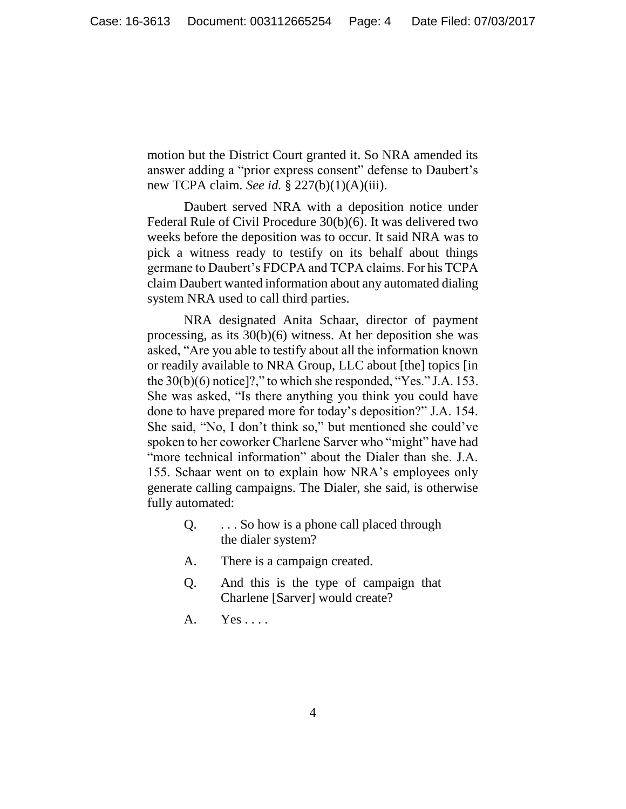motion but the District Court granted it. So NRA amended its answer adding a "prior express consent" defense to Daubert's new TCPA claim. *See id.* § 227(b)(1)(A)(iii).

Daubert served NRA with a deposition notice under Federal Rule of Civil Procedure 30(b)(6). It was delivered two weeks before the deposition was to occur. It said NRA was to pick a witness ready to testify on its behalf about things germane to Daubert's FDCPA and TCPA claims. For his TCPA claim Daubert wanted information about any automated dialing system NRA used to call third parties.

NRA designated Anita Schaar, director of payment processing, as its 30(b)(6) witness. At her deposition she was asked, "Are you able to testify about all the information known or readily available to NRA Group, LLC about [the] topics [in the  $30(b)(6)$  notice]?," to which she responded, "Yes." J.A. 153. She was asked, "Is there anything you think you could have done to have prepared more for today's deposition?" J.A. 154. She said, "No, I don't think so," but mentioned she could've spoken to her coworker Charlene Sarver who "might" have had "more technical information" about the Dialer than she. J.A. 155. Schaar went on to explain how NRA's employees only generate calling campaigns. The Dialer, she said, is otherwise fully automated:

- Q. . . . So how is a phone call placed through the dialer system?
- A. There is a campaign created.
- Q. And this is the type of campaign that Charlene [Sarver] would create?
- A. Yes . . . .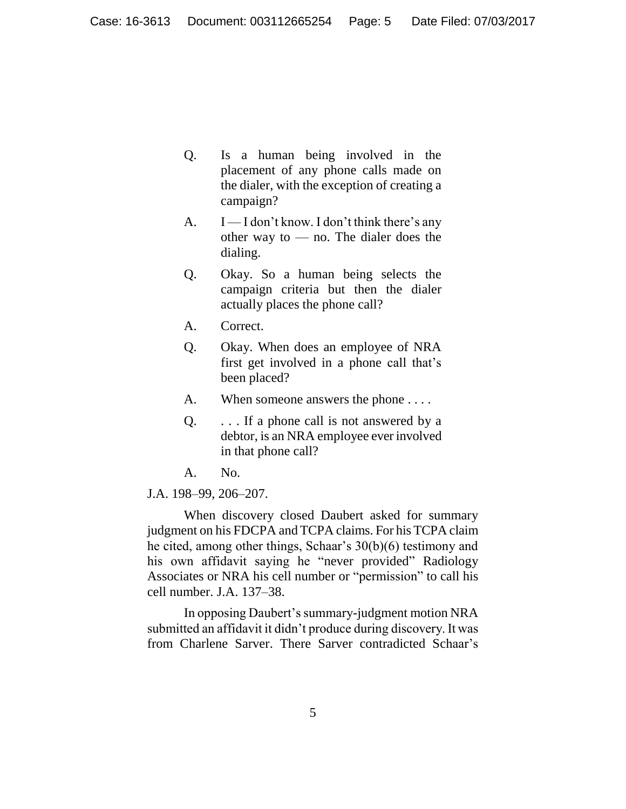- Q. Is a human being involved in the placement of any phone calls made on the dialer, with the exception of creating a campaign?
- A.  $I I$  don't know. I don't think there's any other way to — no. The dialer does the dialing.
- Q. Okay. So a human being selects the campaign criteria but then the dialer actually places the phone call?
- A. Correct.
- Q. Okay. When does an employee of NRA first get involved in a phone call that's been placed?
- A. When someone answers the phone ....
- Q.  $\ldots$  If a phone call is not answered by a debtor, is an NRA employee ever involved in that phone call?
- A. No.
- J.A. 198–99, 206–207.

When discovery closed Daubert asked for summary judgment on his FDCPA and TCPA claims. For his TCPA claim he cited, among other things, Schaar's 30(b)(6) testimony and his own affidavit saying he "never provided" Radiology Associates or NRA his cell number or "permission" to call his cell number. J.A. 137–38.

In opposing Daubert's summary-judgment motion NRA submitted an affidavit it didn't produce during discovery. It was from Charlene Sarver. There Sarver contradicted Schaar's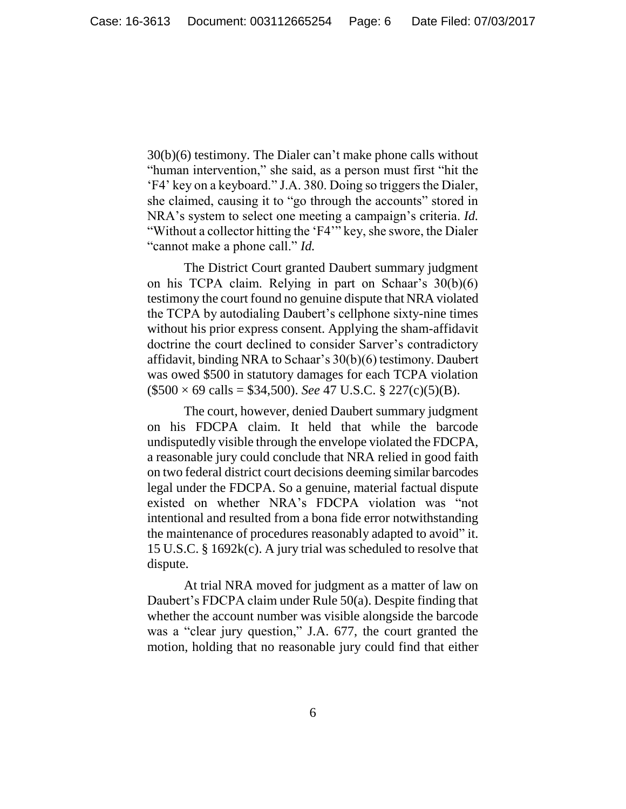30(b)(6) testimony. The Dialer can't make phone calls without "human intervention," she said, as a person must first "hit the 'F4' key on a keyboard." J.A. 380. Doing so triggers the Dialer, she claimed, causing it to "go through the accounts" stored in NRA's system to select one meeting a campaign's criteria. *Id.* "Without a collector hitting the 'F4'" key, she swore, the Dialer "cannot make a phone call." *Id.*

The District Court granted Daubert summary judgment on his TCPA claim. Relying in part on Schaar's 30(b)(6) testimony the court found no genuine dispute that NRA violated the TCPA by autodialing Daubert's cellphone sixty-nine times without his prior express consent. Applying the sham-affidavit doctrine the court declined to consider Sarver's contradictory affidavit, binding NRA to Schaar's 30(b)(6) testimony. Daubert was owed \$500 in statutory damages for each TCPA violation (\$500 × 69 calls = \$34,500). *See* 47 U.S.C. § 227(c)(5)(B).

The court, however, denied Daubert summary judgment on his FDCPA claim. It held that while the barcode undisputedly visible through the envelope violated the FDCPA, a reasonable jury could conclude that NRA relied in good faith on two federal district court decisions deeming similar barcodes legal under the FDCPA. So a genuine, material factual dispute existed on whether NRA's FDCPA violation was "not intentional and resulted from a bona fide error notwithstanding the maintenance of procedures reasonably adapted to avoid" it. 15 U.S.C. § 1692k(c). A jury trial was scheduled to resolve that dispute.

At trial NRA moved for judgment as a matter of law on Daubert's FDCPA claim under Rule 50(a). Despite finding that whether the account number was visible alongside the barcode was a "clear jury question," J.A. 677, the court granted the motion, holding that no reasonable jury could find that either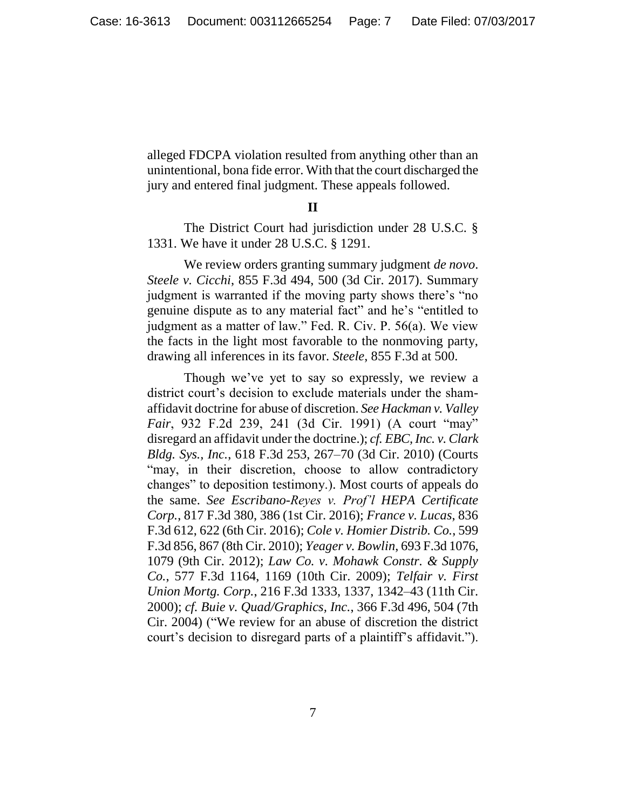alleged FDCPA violation resulted from anything other than an unintentional, bona fide error. With that the court discharged the jury and entered final judgment. These appeals followed.

#### **II**

The District Court had jurisdiction under 28 U.S.C. § 1331. We have it under 28 U.S.C. § 1291.

We review orders granting summary judgment *de novo*. *Steele v. Cicchi*, 855 F.3d 494, 500 (3d Cir. 2017). Summary judgment is warranted if the moving party shows there's "no genuine dispute as to any material fact" and he's "entitled to judgment as a matter of law." Fed. R. Civ. P. 56(a). We view the facts in the light most favorable to the nonmoving party, drawing all inferences in its favor. *Steele*, 855 F.3d at 500.

Though we've yet to say so expressly, we review a district court's decision to exclude materials under the shamaffidavit doctrine for abuse of discretion. *See Hackman v. Valley Fair*, 932 F.2d 239, 241 (3d Cir. 1991) (A court "may" disregard an affidavit under the doctrine.); *cf. EBC, Inc. v. Clark Bldg. Sys., Inc.*, 618 F.3d 253, 267–70 (3d Cir. 2010) (Courts "may, in their discretion, choose to allow contradictory changes" to deposition testimony.). Most courts of appeals do the same. *See Escribano-Reyes v. Prof'l HEPA Certificate Corp.*, 817 F.3d 380, 386 (1st Cir. 2016); *France v. Lucas*, 836 F.3d 612, 622 (6th Cir. 2016); *Cole v. Homier Distrib. Co.*, 599 F.3d 856, 867 (8th Cir. 2010); *Yeager v. Bowlin*, 693 F.3d 1076, 1079 (9th Cir. 2012); *Law Co. v. Mohawk Constr. & Supply Co.*, 577 F.3d 1164, 1169 (10th Cir. 2009); *Telfair v. First Union Mortg. Corp.*, 216 F.3d 1333, 1337, 1342–43 (11th Cir. 2000); *cf. Buie v. Quad/Graphics, Inc.*, 366 F.3d 496, 504 (7th Cir. 2004) ("We review for an abuse of discretion the district court's decision to disregard parts of a plaintiff's affidavit.").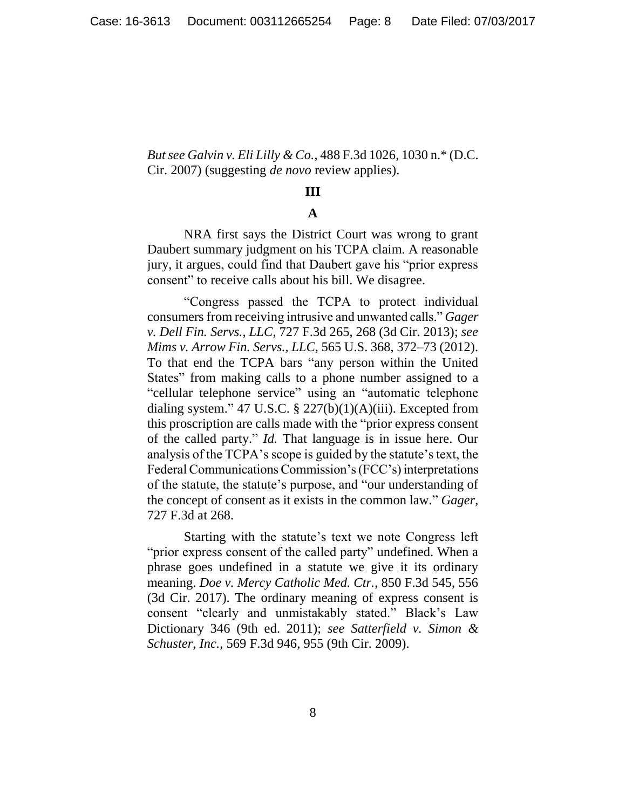*But see Galvin v. Eli Lilly & Co.*, 488 F.3d 1026, 1030 n.\* (D.C. Cir. 2007) (suggesting *de novo* review applies).

## **III**

# **A**

NRA first says the District Court was wrong to grant Daubert summary judgment on his TCPA claim. A reasonable jury, it argues, could find that Daubert gave his "prior express consent" to receive calls about his bill. We disagree.

"Congress passed the TCPA to protect individual consumers from receiving intrusive and unwanted calls." *Gager v. Dell Fin. Servs., LLC*, 727 F.3d 265, 268 (3d Cir. 2013); *see Mims v. Arrow Fin. Servs., LLC*, 565 U.S. 368, 372–73 (2012). To that end the TCPA bars "any person within the United States" from making calls to a phone number assigned to a "cellular telephone service" using an "automatic telephone dialing system." 47 U.S.C.  $\S$  227(b)(1)(A)(iii). Excepted from this proscription are calls made with the "prior express consent of the called party." *Id.* That language is in issue here. Our analysis of the TCPA's scope is guided by the statute's text, the Federal Communications Commission's (FCC's) interpretations of the statute, the statute's purpose, and "our understanding of the concept of consent as it exists in the common law." *Gager*, 727 F.3d at 268.

Starting with the statute's text we note Congress left "prior express consent of the called party" undefined. When a phrase goes undefined in a statute we give it its ordinary meaning. *Doe v. Mercy Catholic Med. Ctr.*, 850 F.3d 545, 556 (3d Cir. 2017). The ordinary meaning of express consent is consent "clearly and unmistakably stated." Black's Law Dictionary 346 (9th ed. 2011); *see Satterfield v. Simon & Schuster, Inc.*, 569 F.3d 946, 955 (9th Cir. 2009).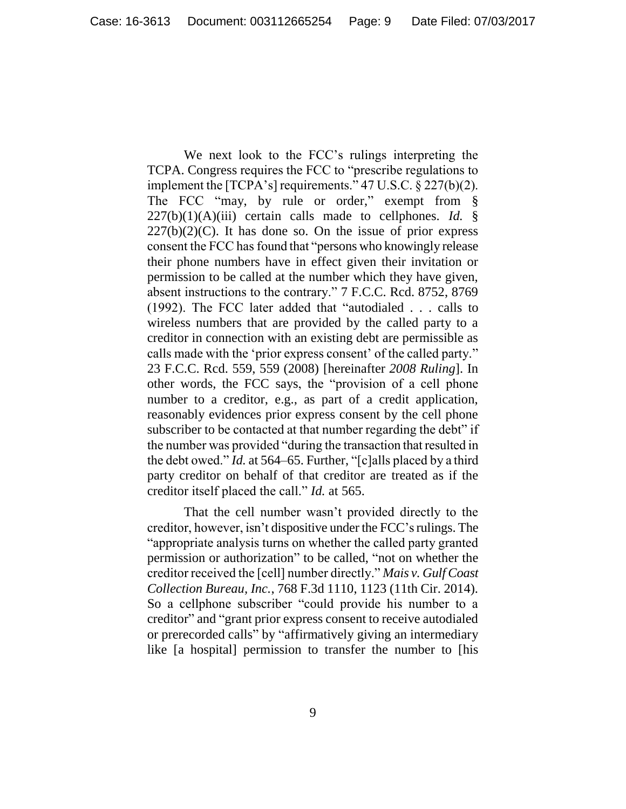We next look to the FCC's rulings interpreting the TCPA. Congress requires the FCC to "prescribe regulations to implement the [TCPA's] requirements." 47 U.S.C. § 227(b)(2). The FCC "may, by rule or order," exempt from §  $227(b)(1)(A)(iii)$  certain calls made to cellphones. *Id.* §  $227(b)(2)(C)$ . It has done so. On the issue of prior express consent the FCC has found that "persons who knowingly release their phone numbers have in effect given their invitation or permission to be called at the number which they have given, absent instructions to the contrary." 7 F.C.C. Rcd. 8752, 8769 (1992). The FCC later added that "autodialed . . . calls to wireless numbers that are provided by the called party to a creditor in connection with an existing debt are permissible as calls made with the 'prior express consent' of the called party." 23 F.C.C. Rcd. 559, 559 (2008) [hereinafter *2008 Ruling*]. In other words, the FCC says, the "provision of a cell phone number to a creditor, e.g., as part of a credit application, reasonably evidences prior express consent by the cell phone subscriber to be contacted at that number regarding the debt" if the number was provided "during the transaction that resulted in the debt owed." *Id.* at 564–65. Further, "[c]alls placed by a third party creditor on behalf of that creditor are treated as if the creditor itself placed the call." *Id.* at 565.

That the cell number wasn't provided directly to the creditor, however, isn't dispositive under the FCC'srulings. The "appropriate analysis turns on whether the called party granted permission or authorization" to be called, "not on whether the creditor received the [cell] number directly." *Mais v. Gulf Coast Collection Bureau, Inc.*, 768 F.3d 1110, 1123 (11th Cir. 2014). So a cellphone subscriber "could provide his number to a creditor" and "grant prior express consent to receive autodialed or prerecorded calls" by "affirmatively giving an intermediary like [a hospital] permission to transfer the number to [his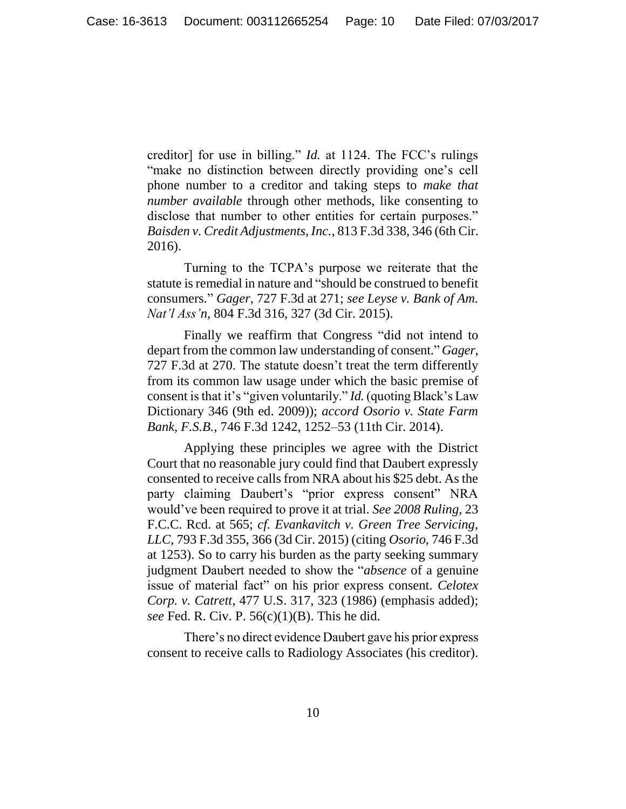creditor] for use in billing." *Id.* at 1124. The FCC's rulings "make no distinction between directly providing one's cell phone number to a creditor and taking steps to *make that number available* through other methods, like consenting to disclose that number to other entities for certain purposes." *Baisden v. Credit Adjustments, Inc.*, 813 F.3d 338, 346 (6th Cir. 2016).

Turning to the TCPA's purpose we reiterate that the statute is remedial in nature and "should be construed to benefit consumers." *Gager*, 727 F.3d at 271; *see Leyse v. Bank of Am. Nat'l Ass'n*, 804 F.3d 316, 327 (3d Cir. 2015).

Finally we reaffirm that Congress "did not intend to depart from the common law understanding of consent." *Gager*, 727 F.3d at 270. The statute doesn't treat the term differently from its common law usage under which the basic premise of consent is that it's "given voluntarily." *Id.* (quoting Black's Law Dictionary 346 (9th ed. 2009)); *accord Osorio v. State Farm Bank, F.S.B.*, 746 F.3d 1242, 1252–53 (11th Cir. 2014).

Applying these principles we agree with the District Court that no reasonable jury could find that Daubert expressly consented to receive calls from NRA about his \$25 debt. As the party claiming Daubert's "prior express consent" NRA would've been required to prove it at trial. *See 2008 Ruling*, 23 F.C.C. Rcd. at 565; *cf. Evankavitch v. Green Tree Servicing, LLC*, 793 F.3d 355, 366 (3d Cir. 2015) (citing *Osorio*, 746 F.3d at 1253). So to carry his burden as the party seeking summary judgment Daubert needed to show the "*absence* of a genuine issue of material fact" on his prior express consent. *Celotex Corp. v. Catrett*, 477 U.S. 317, 323 (1986) (emphasis added); *see* Fed. R. Civ. P. 56(c)(1)(B). This he did.

There's no direct evidence Daubert gave his prior express consent to receive calls to Radiology Associates (his creditor).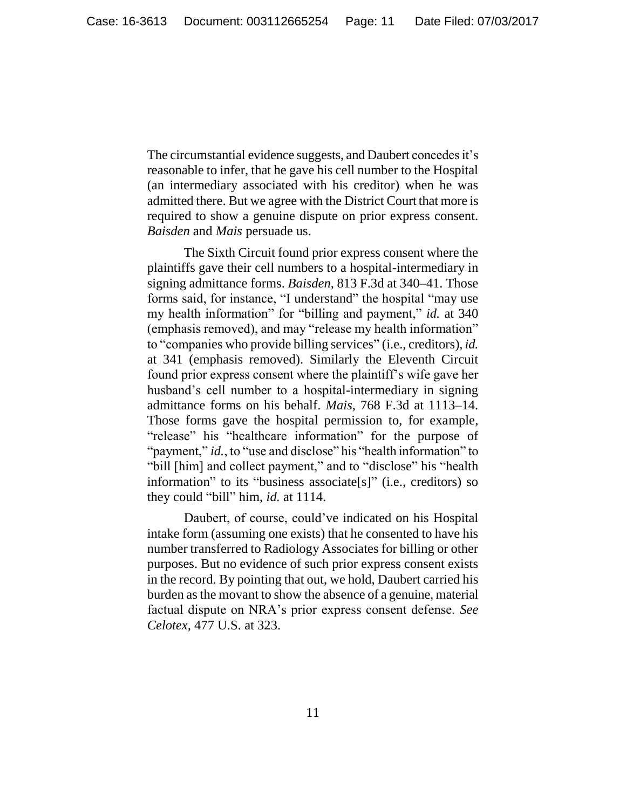The circumstantial evidence suggests, and Daubert concedes it's reasonable to infer, that he gave his cell number to the Hospital (an intermediary associated with his creditor) when he was admitted there. But we agree with the District Court that more is required to show a genuine dispute on prior express consent. *Baisden* and *Mais* persuade us.

The Sixth Circuit found prior express consent where the plaintiffs gave their cell numbers to a hospital-intermediary in signing admittance forms. *Baisden*, 813 F.3d at 340–41. Those forms said, for instance, "I understand" the hospital "may use my health information" for "billing and payment," *id.* at 340 (emphasis removed), and may "release my health information" to "companies who provide billing services" (i.e., creditors), *id.* at 341 (emphasis removed). Similarly the Eleventh Circuit found prior express consent where the plaintiff's wife gave her husband's cell number to a hospital-intermediary in signing admittance forms on his behalf. *Mais*, 768 F.3d at 1113–14. Those forms gave the hospital permission to, for example, "release" his "healthcare information" for the purpose of "payment," *id.*, to "use and disclose" his "health information" to "bill [him] and collect payment," and to "disclose" his "health information" to its "business associate[s]" (i.e., creditors) so they could "bill" him, *id.* at 1114.

Daubert, of course, could've indicated on his Hospital intake form (assuming one exists) that he consented to have his number transferred to Radiology Associates for billing or other purposes. But no evidence of such prior express consent exists in the record. By pointing that out, we hold, Daubert carried his burden as the movant to show the absence of a genuine, material factual dispute on NRA's prior express consent defense. *See Celotex*, 477 U.S. at 323.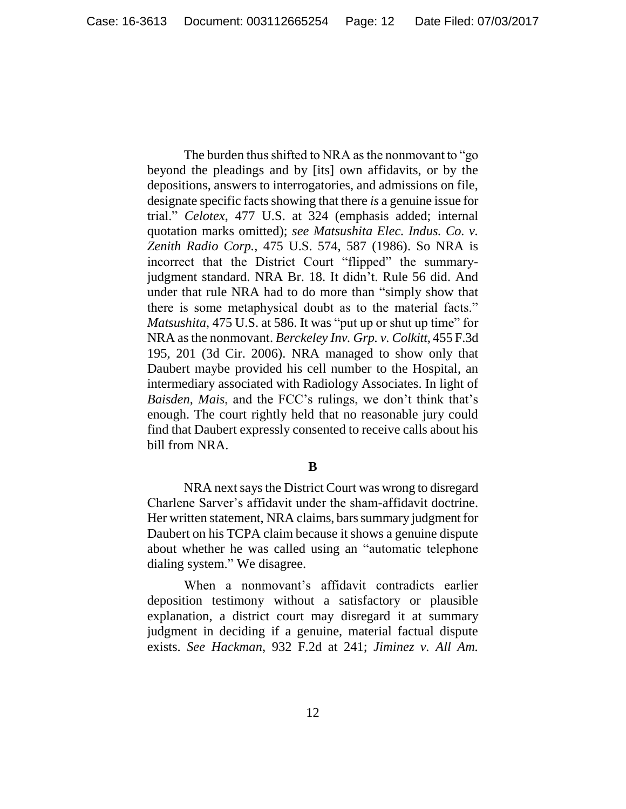The burden thus shifted to NRA as the nonmovant to "go beyond the pleadings and by [its] own affidavits, or by the depositions, answers to interrogatories, and admissions on file, designate specific facts showing that there *is* a genuine issue for trial." *Celotex*, 477 U.S. at 324 (emphasis added; internal quotation marks omitted); *see Matsushita Elec. Indus. Co. v. Zenith Radio Corp.*, 475 U.S. 574, 587 (1986). So NRA is incorrect that the District Court "flipped" the summaryjudgment standard. NRA Br. 18. It didn't. Rule 56 did. And under that rule NRA had to do more than "simply show that there is some metaphysical doubt as to the material facts." *Matsushita*, 475 U.S. at 586. It was "put up or shut up time" for NRA as the nonmovant. *Berckeley Inv. Grp. v. Colkitt*, 455 F.3d 195, 201 (3d Cir. 2006). NRA managed to show only that Daubert maybe provided his cell number to the Hospital, an intermediary associated with Radiology Associates. In light of *Baisden*, *Mais*, and the FCC's rulings, we don't think that's enough. The court rightly held that no reasonable jury could find that Daubert expressly consented to receive calls about his bill from NRA.

### **B**

NRA next says the District Court was wrong to disregard Charlene Sarver's affidavit under the sham-affidavit doctrine. Her written statement, NRA claims, bars summary judgment for Daubert on his TCPA claim because it shows a genuine dispute about whether he was called using an "automatic telephone dialing system." We disagree.

When a nonmovant's affidavit contradicts earlier deposition testimony without a satisfactory or plausible explanation, a district court may disregard it at summary judgment in deciding if a genuine, material factual dispute exists. *See Hackman*, 932 F.2d at 241; *Jiminez v. All Am.*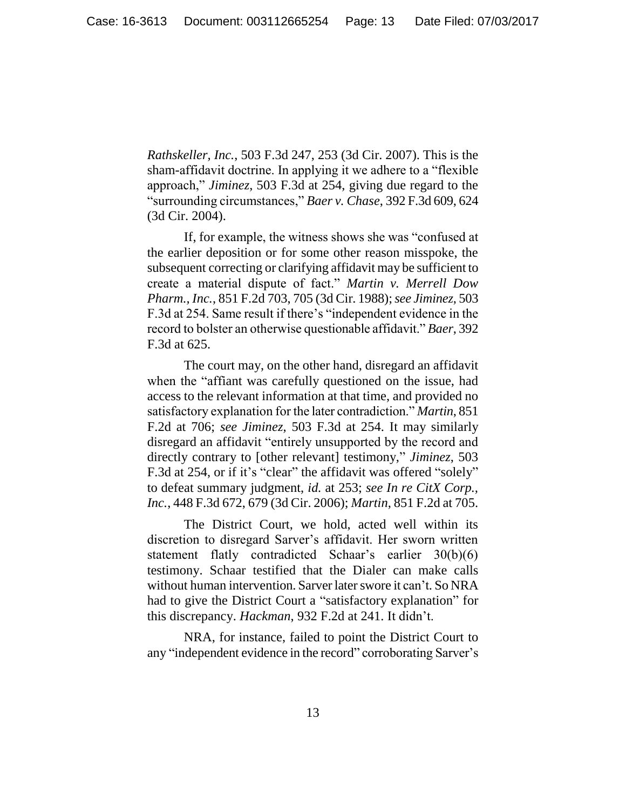*Rathskeller, Inc.*, 503 F.3d 247, 253 (3d Cir. 2007). This is the sham-affidavit doctrine. In applying it we adhere to a "flexible approach," *Jiminez*, 503 F.3d at 254, giving due regard to the "surrounding circumstances," *Baer v. Chase*, 392 F.3d 609, 624 (3d Cir. 2004).

If, for example, the witness shows she was "confused at the earlier deposition or for some other reason misspoke, the subsequent correcting or clarifying affidavit may be sufficient to create a material dispute of fact." *Martin v. Merrell Dow Pharm., Inc.*, 851 F.2d 703, 705 (3d Cir. 1988); *see Jiminez*, 503 F.3d at 254. Same result if there's "independent evidence in the record to bolster an otherwise questionable affidavit." *Baer*, 392 F.3d at 625.

The court may, on the other hand, disregard an affidavit when the "affiant was carefully questioned on the issue, had access to the relevant information at that time, and provided no satisfactory explanation for the later contradiction." *Martin*, 851 F.2d at 706; *see Jiminez*, 503 F.3d at 254. It may similarly disregard an affidavit "entirely unsupported by the record and directly contrary to [other relevant] testimony," *Jiminez*, 503 F.3d at 254, or if it's "clear" the affidavit was offered "solely" to defeat summary judgment, *id.* at 253; *see In re CitX Corp., Inc.*, 448 F.3d 672, 679 (3d Cir. 2006); *Martin*, 851 F.2d at 705.

The District Court, we hold, acted well within its discretion to disregard Sarver's affidavit. Her sworn written statement flatly contradicted Schaar's earlier 30(b)(6) testimony. Schaar testified that the Dialer can make calls without human intervention. Sarver later swore it can't. So NRA had to give the District Court a "satisfactory explanation" for this discrepancy. *Hackman*, 932 F.2d at 241. It didn't.

NRA, for instance, failed to point the District Court to any "independent evidence in the record" corroborating Sarver's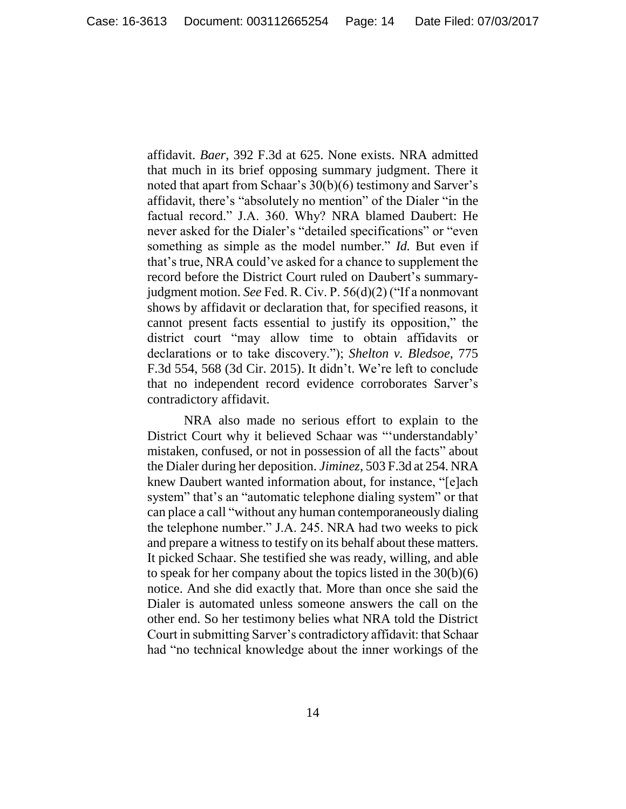affidavit. *Baer*, 392 F.3d at 625. None exists. NRA admitted that much in its brief opposing summary judgment. There it noted that apart from Schaar's 30(b)(6) testimony and Sarver's affidavit, there's "absolutely no mention" of the Dialer "in the factual record." J.A. 360. Why? NRA blamed Daubert: He never asked for the Dialer's "detailed specifications" or "even something as simple as the model number." *Id.* But even if that's true, NRA could've asked for a chance to supplement the record before the District Court ruled on Daubert's summaryjudgment motion. *See* Fed. R. Civ. P. 56(d)(2) ("If a nonmovant shows by affidavit or declaration that, for specified reasons, it cannot present facts essential to justify its opposition," the district court "may allow time to obtain affidavits or declarations or to take discovery."); *Shelton v. Bledsoe*, 775 F.3d 554, 568 (3d Cir. 2015). It didn't. We're left to conclude that no independent record evidence corroborates Sarver's contradictory affidavit.

NRA also made no serious effort to explain to the District Court why it believed Schaar was "'understandably' mistaken, confused, or not in possession of all the facts" about the Dialer during her deposition. *Jiminez*, 503 F.3d at 254. NRA knew Daubert wanted information about, for instance, "[e]ach system" that's an "automatic telephone dialing system" or that can place a call "without any human contemporaneously dialing the telephone number." J.A. 245. NRA had two weeks to pick and prepare a witness to testify on its behalf about these matters. It picked Schaar. She testified she was ready, willing, and able to speak for her company about the topics listed in the 30(b)(6) notice. And she did exactly that. More than once she said the Dialer is automated unless someone answers the call on the other end. So her testimony belies what NRA told the District Court in submitting Sarver's contradictory affidavit: that Schaar had "no technical knowledge about the inner workings of the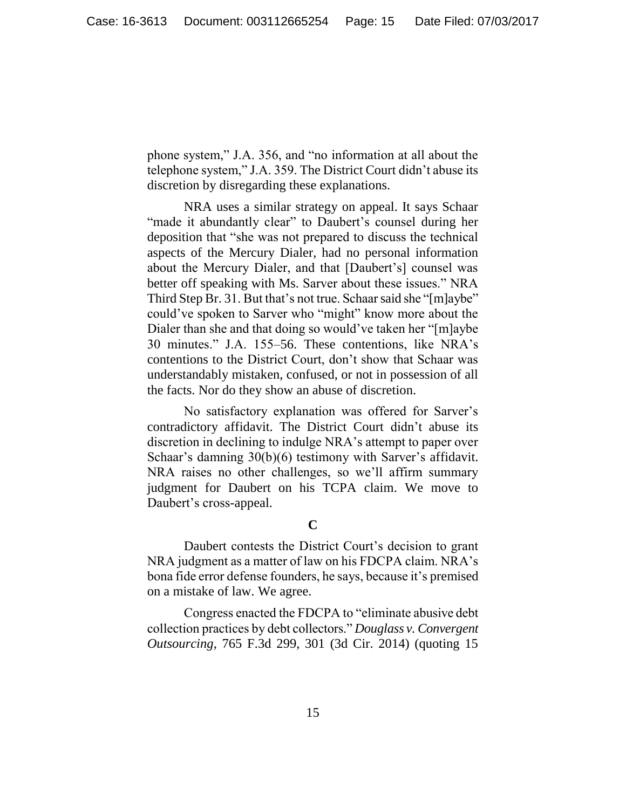phone system," J.A. 356, and "no information at all about the telephone system," J.A. 359. The District Court didn't abuse its discretion by disregarding these explanations.

NRA uses a similar strategy on appeal. It says Schaar "made it abundantly clear" to Daubert's counsel during her deposition that "she was not prepared to discuss the technical aspects of the Mercury Dialer, had no personal information about the Mercury Dialer, and that [Daubert's] counsel was better off speaking with Ms. Sarver about these issues." NRA Third Step Br. 31. But that's not true. Schaar said she "[m]aybe" could've spoken to Sarver who "might" know more about the Dialer than she and that doing so would've taken her "[m]aybe 30 minutes." J.A. 155–56. These contentions, like NRA's contentions to the District Court, don't show that Schaar was understandably mistaken, confused, or not in possession of all the facts. Nor do they show an abuse of discretion.

No satisfactory explanation was offered for Sarver's contradictory affidavit. The District Court didn't abuse its discretion in declining to indulge NRA's attempt to paper over Schaar's damning 30(b)(6) testimony with Sarver's affidavit. NRA raises no other challenges, so we'll affirm summary judgment for Daubert on his TCPA claim. We move to Daubert's cross-appeal.

**C**

Daubert contests the District Court's decision to grant NRA judgment as a matter of law on his FDCPA claim. NRA's bona fide error defense founders, he says, because it's premised on a mistake of law. We agree.

Congress enacted the FDCPA to "eliminate abusive debt collection practices by debt collectors." *Douglass v. Convergent Outsourcing*, 765 F.3d 299, 301 (3d Cir. 2014) (quoting 15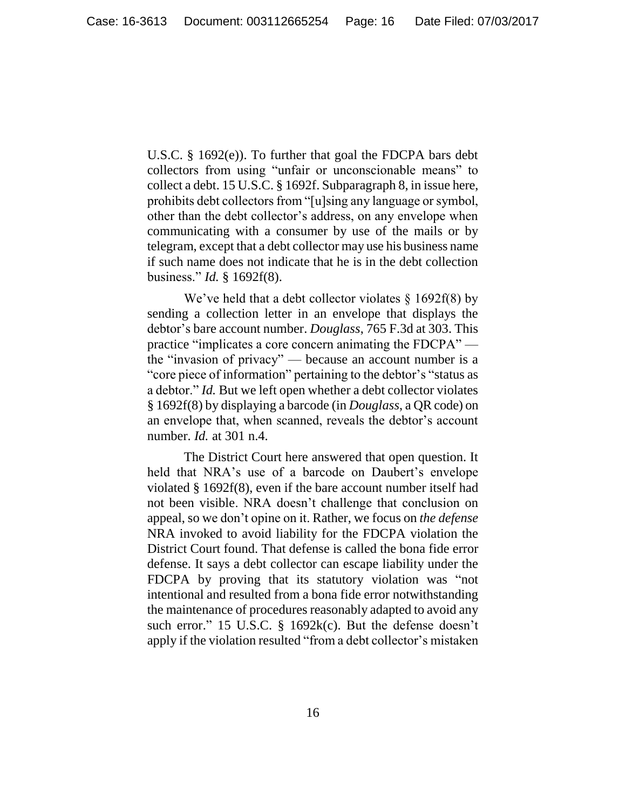U.S.C. § 1692(e)). To further that goal the FDCPA bars debt collectors from using "unfair or unconscionable means" to collect a debt. 15 U.S.C. § 1692f. Subparagraph 8, in issue here, prohibits debt collectors from "[u]sing any language or symbol, other than the debt collector's address, on any envelope when communicating with a consumer by use of the mails or by telegram, except that a debt collector may use his business name if such name does not indicate that he is in the debt collection business." *Id.* § 1692f(8).

We've held that a debt collector violates  $\S$  1692f(8) by sending a collection letter in an envelope that displays the debtor's bare account number. *Douglass*, 765 F.3d at 303. This practice "implicates a core concern animating the FDCPA" the "invasion of privacy" — because an account number is a "core piece of information" pertaining to the debtor's "status as a debtor." *Id.* But we left open whether a debt collector violates § 1692f(8) by displaying a barcode (in *Douglass*, a QR code) on an envelope that, when scanned, reveals the debtor's account number. *Id.* at 301 n.4.

The District Court here answered that open question. It held that NRA's use of a barcode on Daubert's envelope violated § 1692f(8), even if the bare account number itself had not been visible. NRA doesn't challenge that conclusion on appeal, so we don't opine on it. Rather, we focus on *the defense* NRA invoked to avoid liability for the FDCPA violation the District Court found. That defense is called the bona fide error defense. It says a debt collector can escape liability under the FDCPA by proving that its statutory violation was "not intentional and resulted from a bona fide error notwithstanding the maintenance of procedures reasonably adapted to avoid any such error." 15 U.S.C. § 1692k(c). But the defense doesn't apply if the violation resulted "from a debt collector's mistaken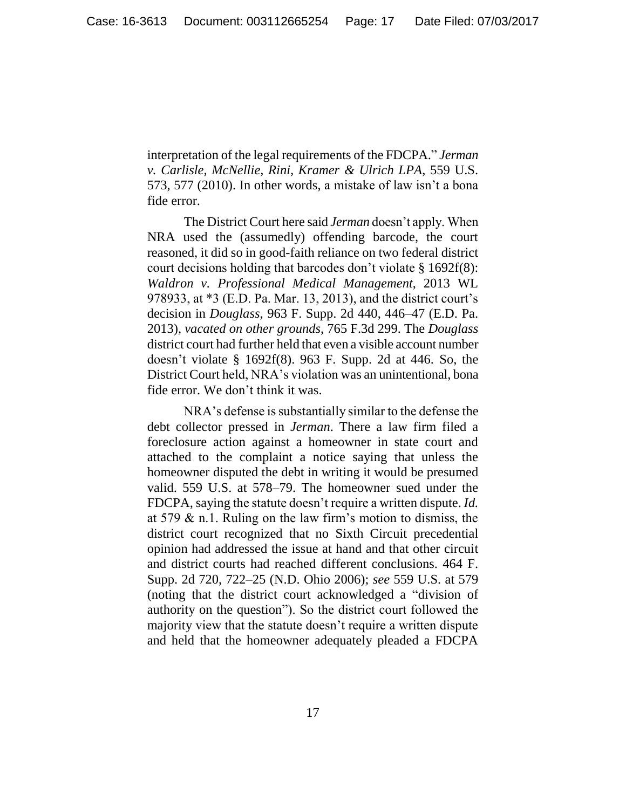interpretation of the legal requirements of the FDCPA." *Jerman v. Carlisle, McNellie, Rini, Kramer & Ulrich LPA*, 559 U.S. 573, 577 (2010). In other words, a mistake of law isn't a bona fide error.

The District Court here said *Jerman* doesn't apply. When NRA used the (assumedly) offending barcode, the court reasoned, it did so in good-faith reliance on two federal district court decisions holding that barcodes don't violate § 1692f(8): *Waldron v. Professional Medical Management*, 2013 WL 978933, at \*3 (E.D. Pa. Mar. 13, 2013), and the district court's decision in *Douglass*, 963 F. Supp. 2d 440, 446–47 (E.D. Pa. 2013), *vacated on other grounds*, 765 F.3d 299. The *Douglass* district court had further held that even a visible account number doesn't violate § 1692f(8). 963 F. Supp. 2d at 446. So, the District Court held, NRA's violation was an unintentional, bona fide error. We don't think it was.

NRA's defense is substantially similar to the defense the debt collector pressed in *Jerman*. There a law firm filed a foreclosure action against a homeowner in state court and attached to the complaint a notice saying that unless the homeowner disputed the debt in writing it would be presumed valid. 559 U.S. at 578–79. The homeowner sued under the FDCPA, saying the statute doesn't require a written dispute. *Id.* at 579  $\&$  n.1. Ruling on the law firm's motion to dismiss, the district court recognized that no Sixth Circuit precedential opinion had addressed the issue at hand and that other circuit and district courts had reached different conclusions. 464 F. Supp. 2d 720, 722–25 (N.D. Ohio 2006); *see* 559 U.S. at 579 (noting that the district court acknowledged a "division of authority on the question"). So the district court followed the majority view that the statute doesn't require a written dispute and held that the homeowner adequately pleaded a FDCPA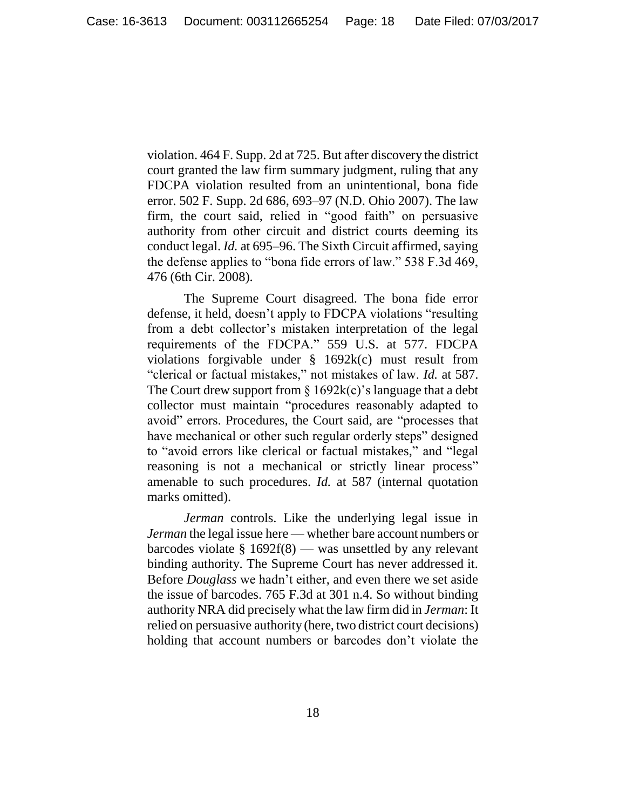violation. 464 F. Supp. 2d at 725. But after discovery the district court granted the law firm summary judgment, ruling that any FDCPA violation resulted from an unintentional, bona fide error. 502 F. Supp. 2d 686, 693–97 (N.D. Ohio 2007). The law firm, the court said, relied in "good faith" on persuasive authority from other circuit and district courts deeming its conduct legal. *Id.* at 695–96. The Sixth Circuit affirmed, saying the defense applies to "bona fide errors of law." 538 F.3d 469, 476 (6th Cir. 2008).

The Supreme Court disagreed. The bona fide error defense, it held, doesn't apply to FDCPA violations "resulting from a debt collector's mistaken interpretation of the legal requirements of the FDCPA." 559 U.S. at 577. FDCPA violations forgivable under § 1692k(c) must result from "clerical or factual mistakes," not mistakes of law. *Id.* at 587. The Court drew support from  $\S 1692k(c)$ 's language that a debt collector must maintain "procedures reasonably adapted to avoid" errors. Procedures, the Court said, are "processes that have mechanical or other such regular orderly steps" designed to "avoid errors like clerical or factual mistakes," and "legal reasoning is not a mechanical or strictly linear process" amenable to such procedures. *Id.* at 587 (internal quotation marks omitted).

*Jerman* controls. Like the underlying legal issue in *Jerman* the legal issue here — whether bare account numbers or barcodes violate § 1692f(8) — was unsettled by any relevant binding authority. The Supreme Court has never addressed it. Before *Douglass* we hadn't either, and even there we set aside the issue of barcodes. 765 F.3d at 301 n.4. So without binding authority NRA did precisely what the law firm did in *Jerman*: It relied on persuasive authority (here, two district court decisions) holding that account numbers or barcodes don't violate the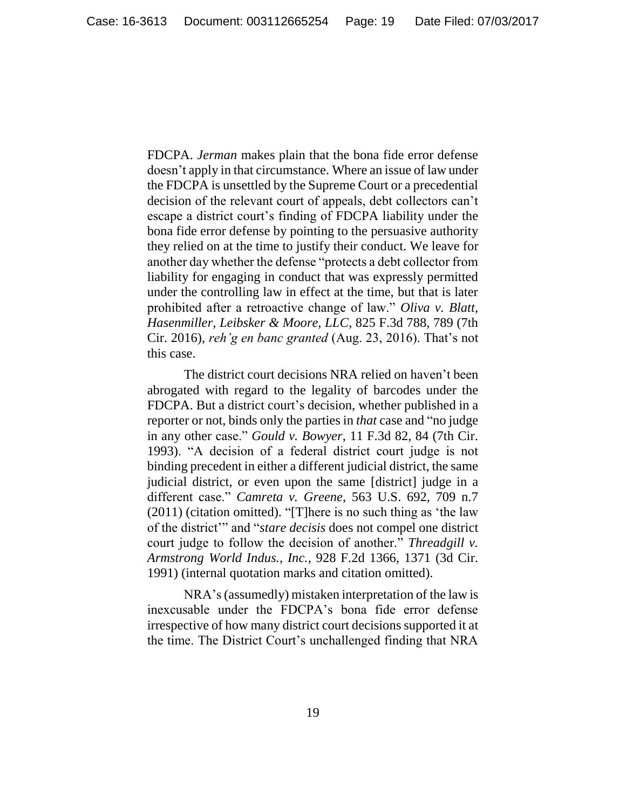FDCPA. *Jerman* makes plain that the bona fide error defense doesn't apply in that circumstance. Where an issue of law under the FDCPA is unsettled by the Supreme Court or a precedential decision of the relevant court of appeals, debt collectors can't escape a district court's finding of FDCPA liability under the bona fide error defense by pointing to the persuasive authority they relied on at the time to justify their conduct. We leave for another day whether the defense "protects a debt collector from liability for engaging in conduct that was expressly permitted under the controlling law in effect at the time, but that is later prohibited after a retroactive change of law." *Oliva v. Blatt, Hasenmiller, Leibsker & Moore, LLC*, 825 F.3d 788, 789 (7th Cir. 2016), *reh'g en banc granted* (Aug. 23, 2016). That's not this case.

The district court decisions NRA relied on haven't been abrogated with regard to the legality of barcodes under the FDCPA. But a district court's decision, whether published in a reporter or not, binds only the parties in *that* case and "no judge in any other case." *Gould v. Bowyer*, 11 F.3d 82, 84 (7th Cir. 1993). "A decision of a federal district court judge is not binding precedent in either a different judicial district, the same judicial district, or even upon the same [district] judge in a different case." *Camreta v. Greene*, 563 U.S. 692, 709 n.7 (2011) (citation omitted). "[T]here is no such thing as 'the law of the district'" and "*stare decisis* does not compel one district court judge to follow the decision of another." *Threadgill v. Armstrong World Indus., Inc.*, 928 F.2d 1366, 1371 (3d Cir. 1991) (internal quotation marks and citation omitted).

NRA's (assumedly) mistaken interpretation of the law is inexcusable under the FDCPA's bona fide error defense irrespective of how many district court decisions supported it at the time. The District Court's unchallenged finding that NRA